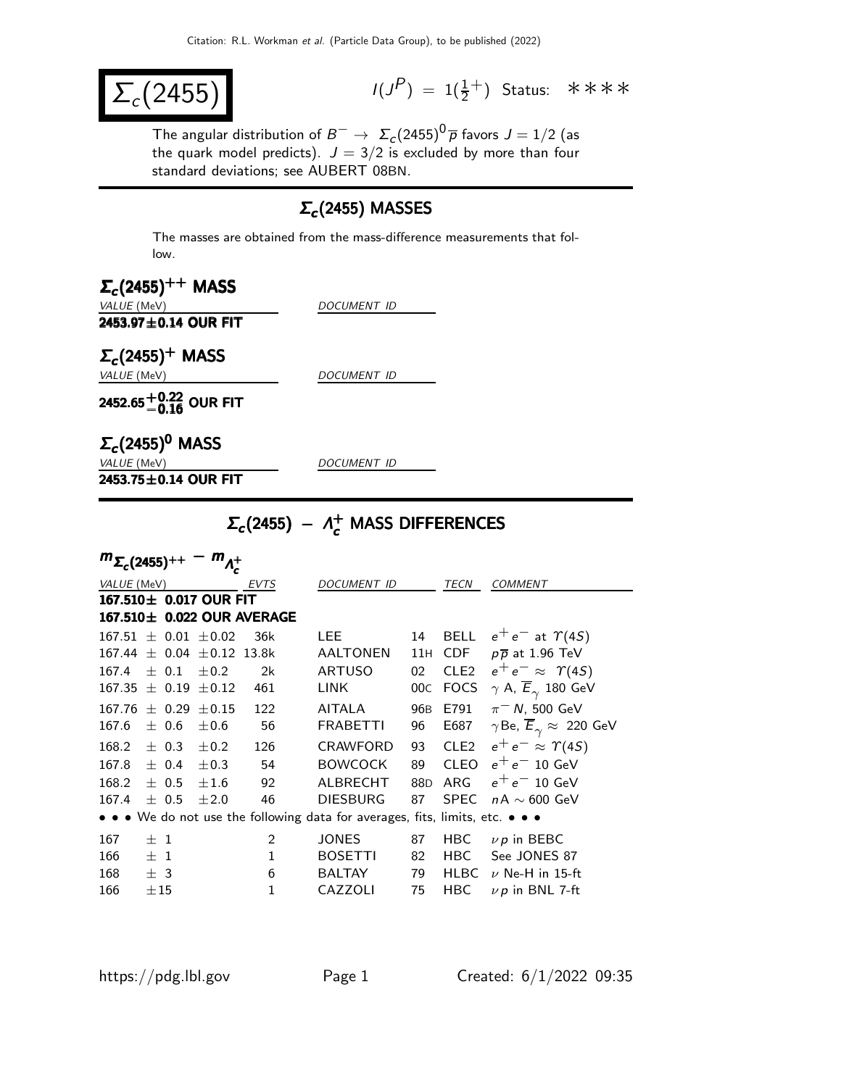$\Sigma_c(2455)$ 

 $(P) = 1(\frac{1}{2}^+)$  Status: \*\*\*\*

The angular distribution of  $B^-\to~\Sigma_c(2455)^{\text{O}}$   $\overline{\rho}$  favors  $J=1/2$  (as the quark model predicts).  $J=3/2$  is excluded by more than four standard deviations; see AUBERT 08BN.

## $Σ<sub>c</sub>$ (2455) MASSES

The masses are obtained from the mass-difference measurements that follow.

| $\Sigma_c(2455)^{++}$ MASS         |                    |
|------------------------------------|--------------------|
| <i>VALUE</i> (MeV)                 | <i>DOCUMENT ID</i> |
| 2453.97 $\pm$ 0.14 OUR FIT         |                    |
| $\Sigma_c(2455)^+$ MASS            |                    |
| <i>VALUE</i> (MeV)                 | <i>DOCUMENT ID</i> |
| 2452.65 $^{+0.22}_{-0.16}$ OUR FIT |                    |
| $\Sigma_c(2455)^0$ MASS            |                    |
| <i>VALUE</i> (MeV)                 | <b>DOCUMENT ID</b> |
| 2453.75±0.14 OUR FIT               |                    |

# $\Sigma_c$ (2455) −  $\Lambda_c^+$  MASS DIFFERENCES

| $m_{\Sigma_c(2455)^{++}}$<br>$m_{\Lambda_{c}^{+}}$ |                                                                                                                       |                    |                             |                             |                 |                 |                  |                                                      |
|----------------------------------------------------|-----------------------------------------------------------------------------------------------------------------------|--------------------|-----------------------------|-----------------------------|-----------------|-----------------|------------------|------------------------------------------------------|
| VALUE (MeV)<br>EVTS                                |                                                                                                                       | <b>DOCUMENT ID</b> |                             |                             | <b>COMMENT</b>  |                 |                  |                                                      |
|                                                    |                                                                                                                       |                    | $167.510 \pm 0.017$ OUR FIT |                             |                 |                 |                  |                                                      |
|                                                    |                                                                                                                       |                    |                             | 167.510 ± 0.022 OUR AVERAGE |                 |                 |                  |                                                      |
|                                                    |                                                                                                                       |                    | $167.51 \pm 0.01 \pm 0.02$  | 36k                         | LEE.            | 14              | <b>BELL</b>      | $e^+e^-$ at $\Upsilon(4S)$                           |
| 167.44                                             |                                                                                                                       |                    | $\pm$ 0.04 $\pm$ 0.12       | 13.8k                       | AALTONEN        | 11H             | <b>CDF</b>       | $p\overline{p}$ at 1.96 TeV                          |
| 167.4                                              |                                                                                                                       | $\pm$ 0.1          | $\pm 0.2$                   | 2k                          | <b>ARTUSO</b>   | 02              | CLE <sub>2</sub> | $e^+e^- \approx \Upsilon(4S)$                        |
| 167.35                                             |                                                                                                                       | $\pm$ 0.19         | $\pm$ 0.12                  | 461                         | LINK            | 00 <sub>C</sub> | <b>FOCS</b>      | $\gamma$ A, $\overline{E}_{\gamma}$ 180 GeV          |
| 167.76                                             |                                                                                                                       | $\pm$ 0.29         | $\pm 0.15$                  | 122                         | <b>AITALA</b>   | 96 <sub>B</sub> | E791             | $\pi$ <sup>-</sup> N, 500 GeV                        |
| 167.6                                              |                                                                                                                       | ± 0.6              | $\pm 0.6$                   | 56                          | <b>FRABETTI</b> | 96              | E687             | $\gamma$ Be, $\overline{E}_{\gamma} \approx 220$ GeV |
| 168.2                                              |                                                                                                                       | $\pm$ 0.3          | $\pm 0.2$                   | 126                         | <b>CRAWFORD</b> | 93              | CLE <sub>2</sub> | $e^+e^- \approx \Upsilon(4S)$                        |
| 167.8                                              |                                                                                                                       | $\pm$ 0.4          | $\pm$ 0.3                   | 54                          | <b>BOWCOCK</b>  | 89              | <b>CLEO</b>      | $e^+e^-$ 10 GeV                                      |
| 168.2                                              |                                                                                                                       | $\pm$ 0.5          | ±1.6                        | 92                          | <b>ALBRECHT</b> | 88D             | ARG              | $e^+e^-$ 10 GeV                                      |
| 167.4                                              |                                                                                                                       | $\pm$ 0.5          | ±2.0                        | 46                          | <b>DIESBURG</b> | 87              | <b>SPEC</b>      | $nA \sim 600$ GeV                                    |
|                                                    | $\bullet \bullet \bullet$ We do not use the following data for averages, fits, limits, etc. $\bullet \bullet \bullet$ |                    |                             |                             |                 |                 |                  |                                                      |
| 167                                                | $+1$                                                                                                                  |                    |                             | $\overline{2}$              | <b>JONES</b>    | 87              | HBC              | $\nu p$ in BEBC                                      |
| 166                                                | $+1$                                                                                                                  |                    |                             | $\mathbf{1}$                | <b>BOSETTI</b>  | 82              | <b>HBC</b>       | See JONES 87                                         |
| 168                                                | ± 3                                                                                                                   |                    |                             | 6                           | <b>BALTAY</b>   | 79              | <b>HLBC</b>      | $\nu$ Ne-H in 15-ft                                  |
| 166                                                | $\pm 15$                                                                                                              |                    |                             | 1                           | CAZZOLI         | 75              | <b>HBC</b>       | $\nu$ p in BNL 7-ft                                  |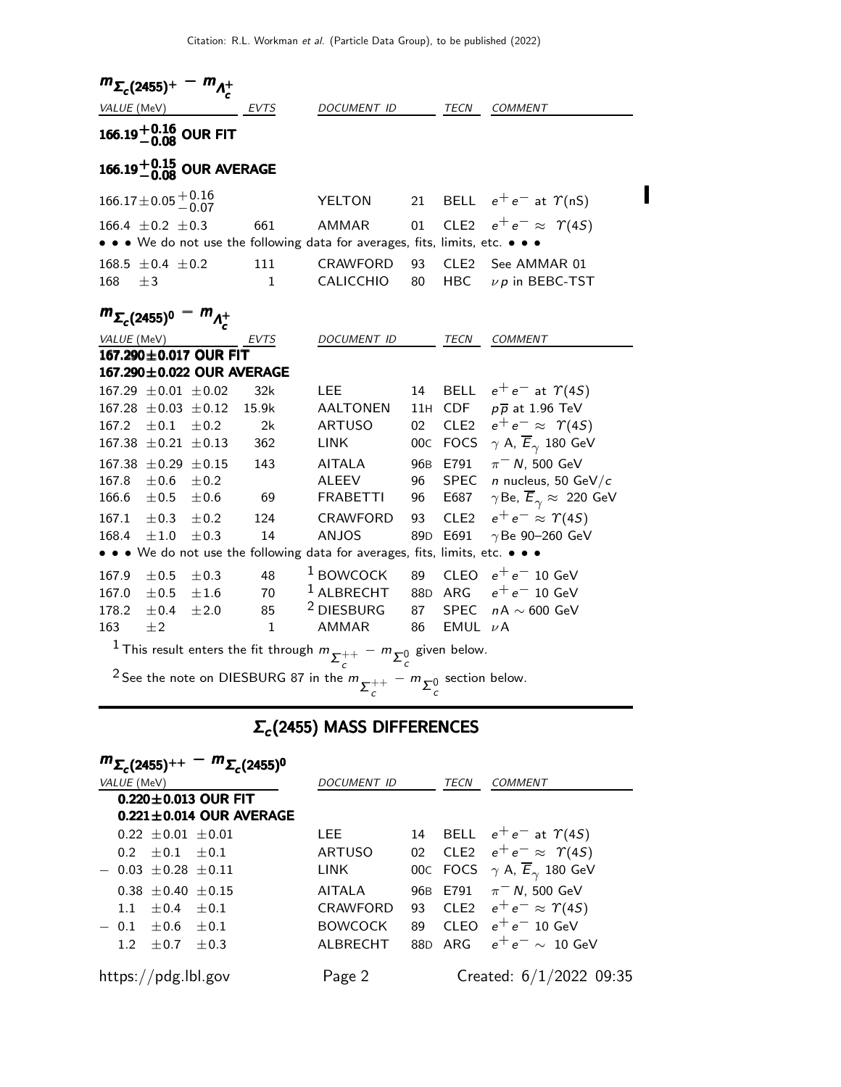| $m_{\Sigma_c(2455)^+}$ |                                                                                                     | $\cdot$ m <sub><math>\Lambda^+</math></sub>      |              |                                                                                                           |                 |                  |                                                                |
|------------------------|-----------------------------------------------------------------------------------------------------|--------------------------------------------------|--------------|-----------------------------------------------------------------------------------------------------------|-----------------|------------------|----------------------------------------------------------------|
| VALUE (MeV)            |                                                                                                     |                                                  | EVTS         | DOCUMENT ID                                                                                               |                 | TECN             | <b>COMMENT</b>                                                 |
|                        |                                                                                                     | 166.19 $^{+0.16}_{-0.08}$ OUR FIT                |              |                                                                                                           |                 |                  |                                                                |
|                        |                                                                                                     | 166.19 <sup><math>+0.15</math></sup> OUR AVERAGE |              |                                                                                                           |                 |                  |                                                                |
|                        | $166.17 \pm 0.05 \begin{array}{c} +0.16 \\ -0.07 \end{array}$                                       |                                                  |              | YELTON                                                                                                    | 21              |                  | BELL $e^+e^-$ at $\Upsilon(nS)$                                |
|                        | 166.4 $\pm$ 0.2 $\pm$ 0.3                                                                           |                                                  | 661          | AMMAR                                                                                                     | 01              | CLE <sub>2</sub> | $e^+e^- \approx \Upsilon(4S)$                                  |
|                        |                                                                                                     |                                                  |              | • • • We do not use the following data for averages, fits, limits, etc. • • •                             |                 |                  |                                                                |
|                        | $168.5 \pm 0.4 \pm 0.2$                                                                             |                                                  | 111          | <b>CRAWFORD</b>                                                                                           | 93              | CLE <sub>2</sub> | See AMMAR 01                                                   |
| 168                    | ±3                                                                                                  |                                                  | $\mathbf{1}$ | <b>CALICCHIO</b>                                                                                          | 80              | HBC              | $\nu p$ in BEBC-TST                                            |
|                        | $m_{\Sigma_c(2455)^0} - m_{\Lambda_c^+}$                                                            |                                                  |              |                                                                                                           |                 |                  |                                                                |
| VALUE (MeV)            |                                                                                                     |                                                  | EVTS         | <i>DOCUMENT ID</i>                                                                                        |                 | <b>TECN</b>      | <b>COMMENT</b>                                                 |
|                        |                                                                                                     | 167.290±0.017 OUR FIT                            |              |                                                                                                           |                 |                  |                                                                |
|                        |                                                                                                     | 167.290±0.022 OUR AVERAGE                        |              |                                                                                                           |                 |                  |                                                                |
|                        | $167.29 \pm 0.01 \pm 0.02$<br>$167.28 \pm 0.03 \pm 0.12$                                            |                                                  | 32k<br>15.9k | LEE<br><b>AALTONEN</b>                                                                                    | 14<br>11H       | <b>CDF</b>       | BELL $e^+e^-$ at $\Upsilon(4S)$<br>$p\overline{p}$ at 1.96 TeV |
| 167.2                  |                                                                                                     |                                                  |              |                                                                                                           |                 |                  | CLE2 $e^+e^- \approx \Upsilon(4S)$                             |
|                        | $\pm 0.1$<br>$167.38 \pm 0.21 \pm 0.13$                                                             | ±0.2                                             | 2k           | <b>ARTUSO</b><br><b>LINK</b>                                                                              | 02 <sub>2</sub> |                  |                                                                |
|                        |                                                                                                     |                                                  | 362          |                                                                                                           | 00C             |                  | FOCS $\gamma$ A, $\overline{E}_{\gamma}$ 180 GeV               |
|                        | $167.38 \pm 0.29 \pm 0.15$                                                                          |                                                  | 143          | <b>AITALA</b>                                                                                             | 96 <sub>B</sub> | E791             | $\pi$ <sup>-</sup> N, 500 GeV                                  |
| 167.8                  | ±0.6                                                                                                | ±0.2                                             |              | <b>ALEEV</b>                                                                                              | 96              | <b>SPEC</b>      | $n$ nucleus, 50 GeV/ $c$                                       |
| 166.6                  | ±0.5                                                                                                | $\pm 0.6$                                        | 69           | <b>FRABETTI</b>                                                                                           | 96              | E687             | $\gamma$ Be, $\overline{E}_{\gamma} \approx 220$ GeV           |
| 167.1                  | $\pm 0.3$                                                                                           | ±0.2                                             | 124          | <b>CRAWFORD</b>                                                                                           | 93              | CLE <sub>2</sub> | $e^+e^- \approx \Upsilon(4S)$                                  |
| 168.4                  | $\pm\,1.0$                                                                                          | ±0.3                                             | 14           | <b>ANJOS</b>                                                                                              | 89 <sub>D</sub> | E691             | $\gamma$ Be 90-260 GeV                                         |
|                        |                                                                                                     |                                                  |              | • • • We do not use the following data for averages, fits, limits, etc. • • •                             |                 |                  |                                                                |
| 167.9                  | ±0.5                                                                                                | ±0.3                                             | 48           | $1$ BOWCOCK                                                                                               | 89              | <b>CLEO</b>      | $e^+e^-$ 10 GeV                                                |
| 167.0                  | ±0.5                                                                                                | ±1.6                                             | 70           | $1$ ALBRECHT                                                                                              | 88D             | ARG              | $e^+e^-$ 10 GeV                                                |
| 178.2                  | ±0.4                                                                                                | ±2.0                                             | 85           | <sup>2</sup> DIESBURG                                                                                     | 87              | <b>SPEC</b>      | $nA\sim 600\,\, \text{GeV}$                                    |
| 163                    | $\pm 2$                                                                                             |                                                  | $\mathbf{1}$ | <b>AMMAR</b>                                                                                              | 86              | EMUL $\nu$ A     |                                                                |
|                        | <sup>1</sup> This result enters the fit through $m_{\sum_{c}^{++}} - m_{\sum_{c}^{0}}$ given below. |                                                  |              |                                                                                                           |                 |                  |                                                                |
|                        |                                                                                                     |                                                  |              | <sup>2</sup> See the note on DIESBURG 87 in the $m_{\sum_{c=1}^{++}} - m_{\sum_{c=1}^{0}}$ section below. |                 |                  |                                                                |

#### $\Sigma_c$ (2455) MASS DIFFERENCES

| $m_{\Sigma_c(2455)^{++}} - m_{\Sigma_c(2455)^{0}}$<br>VALUE (MeV) | <b>DOCUMENT ID</b> |    | TECN | COMMENT                                              |
|-------------------------------------------------------------------|--------------------|----|------|------------------------------------------------------|
| $0.220 \pm 0.013$ OUR FIT<br>$0.221 \pm 0.014$ OUR AVERAGE        |                    |    |      |                                                      |
| $0.22 \pm 0.01 \pm 0.01$                                          | LEE                | 14 |      | BELL $e^+e^-$ at $\Upsilon(4S)$                      |
| $0.2 + 0.1 + 0.1$                                                 | ARTUSO             | 02 |      | CLE2 $e^+e^- \approx \Upsilon(4S)$                   |
| $-$ 0.03 + 0.28 + 0.11                                            | LINK               |    |      | 00c FOCS $\gamma$ A, $\overline{E}_{\gamma}$ 180 GeV |
| $0.38 \pm 0.40 \pm 0.15$                                          | AITALA             |    |      | 96B E791 $\pi$ <sup>-</sup> N, 500 GeV               |
| 1.1 $\pm$ 0.4 $\pm$ 0.1                                           | <b>CRAWFORD</b>    | 93 |      | CLE2 $e^+e^- \approx \Upsilon(4S)$                   |
| $-0.1 + 0.6 + 0.1$                                                | <b>BOWCOCK</b>     | 89 |      | CLEO $e^+e^-$ 10 GeV                                 |
| $1.2 + 0.7 + 0.3$                                                 | AI BRECHT          |    |      | 88D ARG $e^+e^- \sim 10$ GeV                         |
| https://pdg.lbl.gov                                               | Page 2             |    |      | Created: $6/1/2022$ 09:35                            |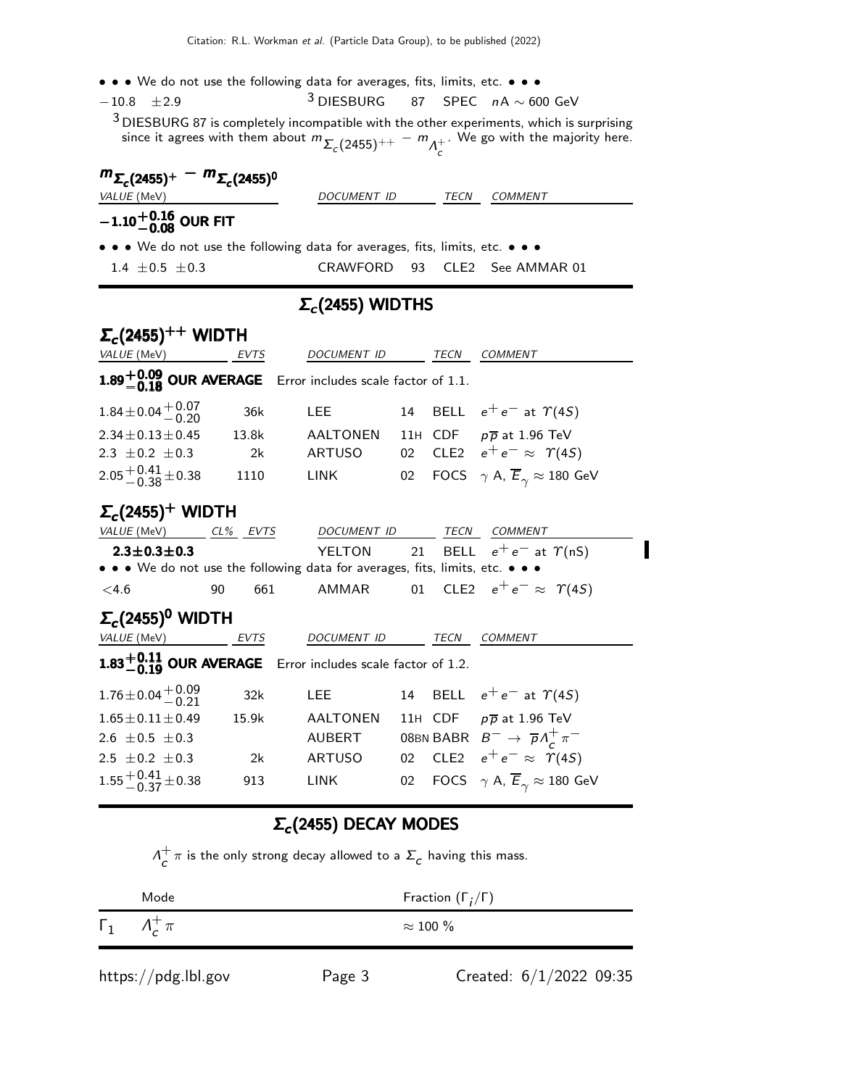- • We do not use the following data for averages, fits, limits, etc. • •
- $-10.8$   $\pm 2.9$ 3 DIESBURG 87 SPEC nA ∼ 600 GeV

 $^3$  DIESBURG 87 is completely incompatible with the other experiments, which is surprising since it agrees with them about  $m_{\Sigma_c(2455)^{++}} - m_{\Lambda_c^+}$ . We go with the majority here.

| $m_{\Sigma_c(2455)^+} - m_{\Sigma_c(2455)^0}$                                 |             |      |         |
|-------------------------------------------------------------------------------|-------------|------|---------|
| <i>VALUE</i> (MeV)                                                            | DOCUMENT ID | TECN | COMMENT |
| $-1.10^{+0.16}_{-0.08}$ OUR FIT                                               |             |      |         |
| • • • We do not use the following data for averages, fits, limits, etc. • • • |             |      |         |

 $1.4 \pm 0.5 \pm 0.3$  CRAWFORD 93 CLE2 See AMMAR 01

#### $Σ_c(2455)$  WIDTHS

| $\Sigma_c(2455)^{++}$ WIDTH                                                                            |             |                  |        |      |                                                                |  |
|--------------------------------------------------------------------------------------------------------|-------------|------------------|--------|------|----------------------------------------------------------------|--|
| <i>VALUE</i> (MeV)                                                                                     | EVTS        | DOCUMENT ID      |        | TECN | <b>COMMENT</b>                                                 |  |
| 1.89 $+0.09$ OUR AVERAGE Error includes scale factor of 1.1.                                           |             |                  |        |      |                                                                |  |
| $1.84 \pm 0.04 \pm 0.07$                                                                               | 36k         | <b>LEE</b>       |        |      | 14 BELL $e^+e^-$ at $\gamma$ (4S)                              |  |
| $2.34 \pm 0.13 \pm 0.45$                                                                               | 13.8k       | AALTONEN         |        |      | 11H CDF $p\overline{p}$ at 1.96 TeV                            |  |
| 2.3 $\pm$ 0.2 $\pm$ 0.3                                                                                | 2k          | ARTUSO           |        |      | 02 CLE2 $e^+e^- \approx \Upsilon(4S)$                          |  |
| $2.05 + 0.41 + 0.38$                                                                                   | 1110        | LINK             |        |      | 02 FOCS $\gamma$ A, $\overline{E}_{\gamma} \approx 180$ GeV    |  |
| $\Sigma_c(2455)^+$ WIDTH                                                                               |             |                  |        |      |                                                                |  |
| VALUE (MeV) CL% EVTS DOCUMENT ID TECN COMMENT                                                          |             |                  |        |      |                                                                |  |
| $2.3 \pm 0.3 \pm 0.3$<br>• • • We do not use the following data for averages, fits, limits, etc. • • • |             |                  |        |      | YELTON 21 BELL $e^+e^-$ at $\Upsilon(nS)$                      |  |
| <4.6                                                                                                   | 90          |                  |        |      | 661 AMMAR 01 CLE2 $e^+e^- \approx \Upsilon(4S)$                |  |
| $\Sigma_c(2455)^0$ WIDTH                                                                               |             |                  |        |      |                                                                |  |
| VALUE (MeV)                                                                                            | <b>EVTS</b> | DOCUMENT ID TECN |        |      | <b>COMMENT</b>                                                 |  |
| 1.83 $+0.11$ OUR AVERAGE Error includes scale factor of 1.2.                                           |             |                  |        |      |                                                                |  |
| $1.76 \pm 0.04 \begin{array}{c} +0.09 \\ -0.21 \end{array}$                                            | 32k         | <b>LEE</b>       |        |      | 14 BELL $e^+e^-$ at $\gamma$ (4S)                              |  |
| $1.65 \pm 0.11 \pm 0.49$                                                                               | 15.9k       | AALTONEN         |        |      | 11H CDF $p\overline{p}$ at 1.96 TeV                            |  |
| 2.6 $\pm$ 0.5 $\pm$ 0.3                                                                                |             | AUBERT           |        |      | 08BN BABR $B^- \rightarrow \overline{p} \Lambda_c^+ \pi^-$     |  |
| 2.5 $\pm$ 0.2 $\pm$ 0.3                                                                                | 2k          | ARTUSO           |        |      | 02 CLE2 $e^+e^- \approx \Upsilon(4S)$                          |  |
| $1.55 + 0.41 + 0.38$                                                                                   | 913         | <b>LINK</b>      | $02\,$ |      | FOCS $\quad \gamma$ A, $\overline{E}_{\gamma} \approx 180$ GeV |  |

#### $Σ_c(2455)$  DECAY MODES

 $\Lambda^+$  $c^+\pi$  is the only strong decay allowed to a  $\Sigma_c$  having this mass.

|            | Mode | Fraction $(\Gamma_i/\Gamma)$ |
|------------|------|------------------------------|
| $\Gamma_1$ |      | $\approx 100~\%$             |